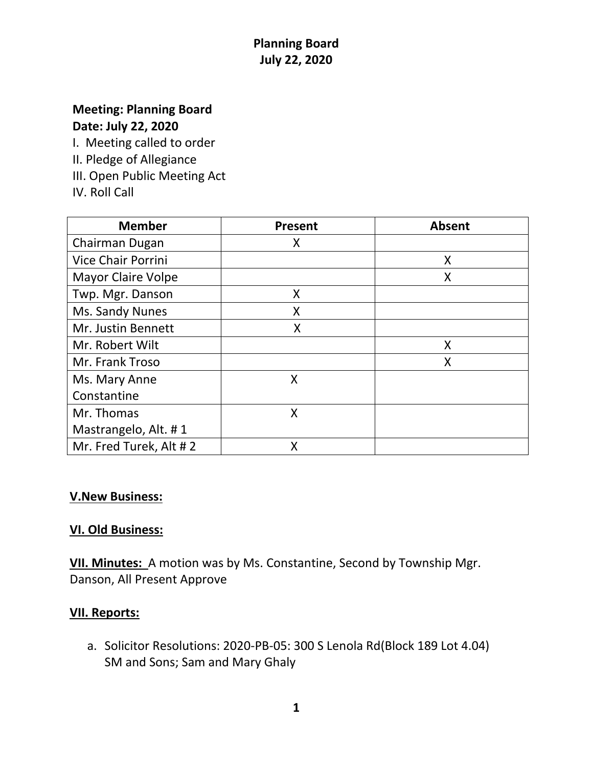# **Planning Board July 22, 2020**

### **Meeting: Planning Board Date: July 22, 2020**

I. Meeting called to order

- II. Pledge of Allegiance
- III. Open Public Meeting Act
- IV. Roll Call

| <b>Member</b>             | <b>Present</b> | <b>Absent</b> |
|---------------------------|----------------|---------------|
| Chairman Dugan            | X              |               |
| Vice Chair Porrini        |                | X             |
| <b>Mayor Claire Volpe</b> |                | X             |
| Twp. Mgr. Danson          | X              |               |
| Ms. Sandy Nunes           | Χ              |               |
| Mr. Justin Bennett        | X              |               |
| Mr. Robert Wilt           |                | X             |
| Mr. Frank Troso           |                | Χ             |
| Ms. Mary Anne             | X              |               |
| Constantine               |                |               |
| Mr. Thomas                | X              |               |
| Mastrangelo, Alt. #1      |                |               |
| Mr. Fred Turek, Alt #2    | Χ              |               |

#### **V.New Business:**

## **VI. Old Business:**

**VII. Minutes:** A motion was by Ms. Constantine, Second by Township Mgr. Danson, All Present Approve

#### **VII. Reports:**

a. Solicitor Resolutions: 2020-PB-05: 300 S Lenola Rd(Block 189 Lot 4.04) SM and Sons; Sam and Mary Ghaly